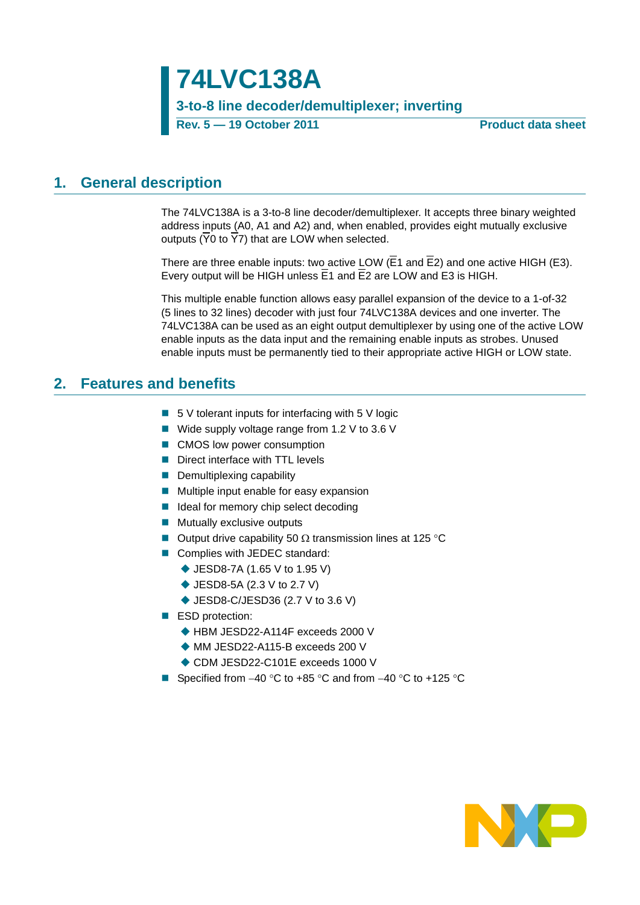**74LVC138A 3-to-8 line decoder/demultiplexer; inverting Rev. 5 — 19 October 2011 Product data sheet**

### <span id="page-0-0"></span>**1. General description**

The 74LVC138A is a 3-to-8 line decoder/demultiplexer. It accepts three binary weighted address inputs (A0, A1 and A2) and, when enabled, provides eight mutually exclusive outputs (Y0 to Y7) that are LOW when selected.

There are three enable inputs: two active LOW  $(E1 \text{ and } E2)$  and one active HIGH (E3). Every output will be HIGH unless E1 and E2 are LOW and E3 is HIGH.

This multiple enable function allows easy parallel expansion of the device to a 1-of-32 (5 lines to 32 lines) decoder with just four 74LVC138A devices and one inverter. The 74LVC138A can be used as an eight output demultiplexer by using one of the active LOW enable inputs as the data input and the remaining enable inputs as strobes. Unused enable inputs must be permanently tied to their appropriate active HIGH or LOW state.

### <span id="page-0-1"></span>**2. Features and benefits**

- $\blacksquare$  5 V tolerant inputs for interfacing with 5 V logic
- Wide supply voltage range from 1.2 V to 3.6 V
- CMOS low power consumption
- Direct interface with TTL levels
- Demultiplexing capability
- $\blacksquare$  Multiple input enable for easy expansion
- I Ideal for memory chip select decoding
- **Mutually exclusive outputs**
- Output drive capability 50  $\Omega$  transmission lines at 125 °C
- Complies with JEDEC standard:
	- ◆ JESD8-7A (1.65 V to 1.95 V)
	- ◆ JESD8-5A (2.3 V to 2.7 V)
	- ◆ JESD8-C/JESD36 (2.7 V to 3.6 V)
- ESD protection:
	- ◆ HBM JESD22-A114F exceeds 2000 V
	- ◆ MM JESD22-A115-B exceeds 200 V
	- ◆ CDM JESD22-C101E exceeds 1000 V
- Specified from  $-40$  °C to  $+85$  °C and from  $-40$  °C to  $+125$  °C

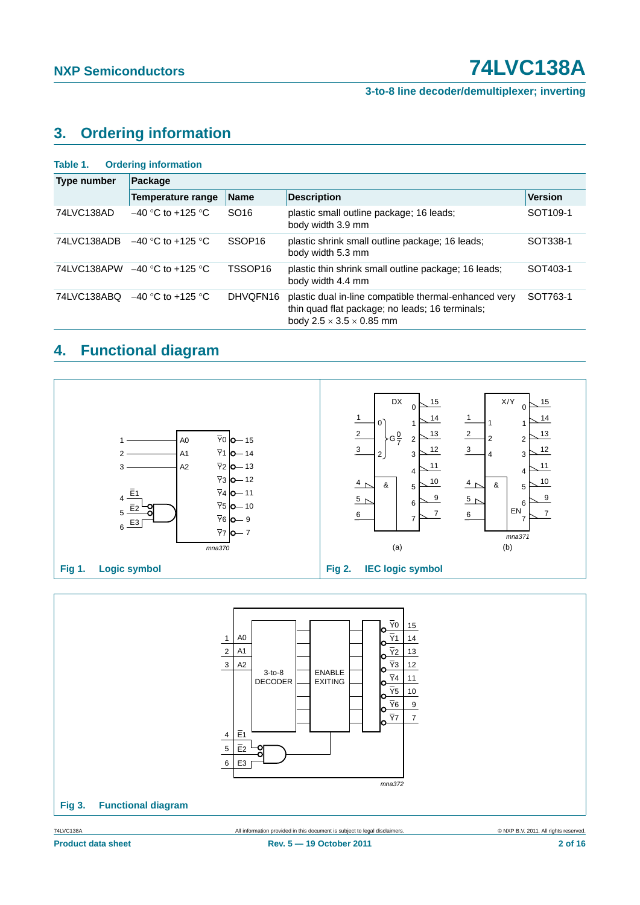**3-to-8 line decoder/demultiplexer; inverting**

# <span id="page-1-0"></span>**3. Ordering information**

| <b>Ordering information</b><br>Table 1. |                          |                     |                                                                                                                                                  |                      |  |  |  |  |  |
|-----------------------------------------|--------------------------|---------------------|--------------------------------------------------------------------------------------------------------------------------------------------------|----------------------|--|--|--|--|--|
| Type number                             | Package                  |                     |                                                                                                                                                  |                      |  |  |  |  |  |
|                                         | <b>Temperature range</b> | <b>Name</b>         | <b>Description</b>                                                                                                                               | <b>Version</b>       |  |  |  |  |  |
| 74LVC138AD                              | $-40$ °C to +125 °C.     | SO <sub>16</sub>    | plastic small outline package; 16 leads;<br>body width 3.9 mm                                                                                    | SOT <sub>109-1</sub> |  |  |  |  |  |
| 74LVC138ADB                             | $-40$ °C to +125 °C      | SSOP <sub>16</sub>  | plastic shrink small outline package; 16 leads;<br>body width 5.3 mm                                                                             | SOT338-1             |  |  |  |  |  |
| 74LVC138APW                             | $-40$ °C to +125 °C      | TSSOP <sub>16</sub> | plastic thin shrink small outline package; 16 leads;<br>body width 4.4 mm                                                                        | SOT403-1             |  |  |  |  |  |
| 74LVC138ABQ                             | $-40$ °C to +125 °C      | DHVQFN16            | plastic dual in-line compatible thermal-enhanced very<br>thin quad flat package; no leads; 16 terminals;<br>body $2.5 \times 3.5 \times 0.85$ mm | SOT763-1             |  |  |  |  |  |

# <span id="page-1-1"></span>**4. Functional diagram**



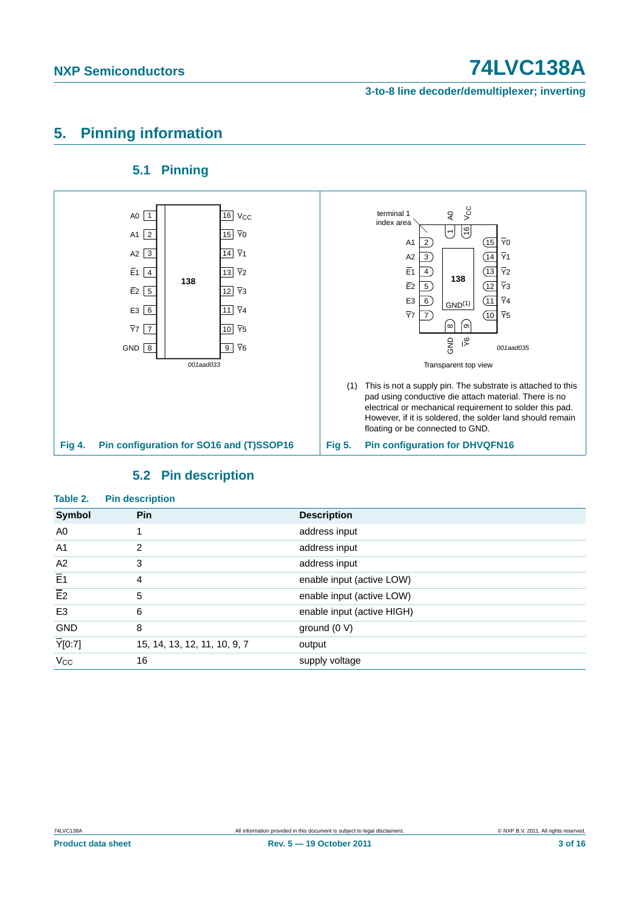**3-to-8 line decoder/demultiplexer; inverting**

# <span id="page-2-0"></span>**5. Pinning information**

### **5.1 Pinning**

<span id="page-2-1"></span>

### **5.2 Pin description**

<span id="page-2-2"></span>

| Table 2.            | <b>Pin description</b>       |                            |
|---------------------|------------------------------|----------------------------|
| Symbol              | Pin                          | <b>Description</b>         |
| A0                  |                              | address input              |
| A <sub>1</sub>      | 2                            | address input              |
| A2                  | 3                            | address input              |
| $\overline{E1}$     | 4                            | enable input (active LOW)  |
| $\overline{E2}$     | 5                            | enable input (active LOW)  |
| E <sub>3</sub>      | 6                            | enable input (active HIGH) |
| <b>GND</b>          | 8                            | ground $(0 V)$             |
| $\overline{Y}[0:7]$ | 15, 14, 13, 12, 11, 10, 9, 7 | output                     |
| $V_{\rm CC}$        | 16                           | supply voltage             |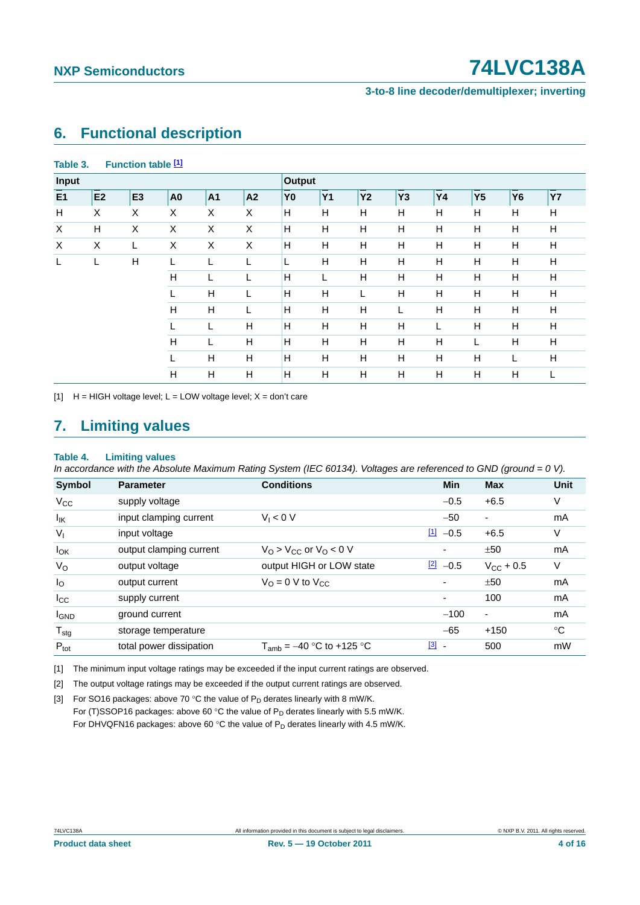### **3-to-8 line decoder/demultiplexer; inverting**

### <span id="page-3-5"></span>**6. Functional description**

| Input |                |                |                |    |    | Output         |                |           |                |    |                |           |           |
|-------|----------------|----------------|----------------|----|----|----------------|----------------|-----------|----------------|----|----------------|-----------|-----------|
| E1    | E <sub>2</sub> | E <sub>3</sub> | A <sub>0</sub> | A1 | A2 | Y <sub>0</sub> | Y <sub>1</sub> | <b>Y2</b> | Y <sub>3</sub> | Υ4 | Y <sub>5</sub> | <b>Y6</b> | <b>Y7</b> |
| н     | X              | X              | X              | X  | X  | н              | н              | Н         | H              | н  | Н              | H         | н         |
| Χ     | H              | X              | X              | X  | X  | н              | H              | Н         | Н              | Н  | H              | H         | н         |
| X     | X              |                | X              | X  | X  | н              | н              | Н         | Н              | Н  | H              | н         | н         |
| L     |                | H              | L              | L  |    | L              | H              | H         | $\mathsf{H}$   | H  | H              | H         | н         |
|       |                |                | H              | L  | L  | H              |                | H         | H              | H  | H              | H         | H         |
|       |                |                | L              | H  | L  | H              | H              | L         | Н              | Н  | H              | H         | н         |
|       |                |                | Н              | H  |    | H              | H              | Н         | L              | Н  | Н              | н         | н         |
|       |                | L<br>H         |                | н  | H  | H              | Н              | H         |                | Н  | H              | н         |           |
|       |                |                |                | L  | H  | H              | H              | H         | H              | H  |                | H         | H         |
|       |                |                | L              | H  | н  | H              | H              | H         | H              | Н  | H              | L         | н         |
|       |                |                | H              | Н  | н  | H              | H              | Н         | Н              | Н  | H              | н         |           |

#### **Table 3. Function table [\[1\]](#page-3-0)**

<span id="page-3-0"></span>[1]  $H = HIGH$  voltage level;  $L = LOW$  voltage level;  $X = don't$  care

## <span id="page-3-6"></span>**7. Limiting values**

#### <span id="page-3-4"></span>**Table 4. Limiting values**

*In accordance with the Absolute Maximum Rating System (IEC 60134). Voltages are referenced to GND (ground = 0 V).*

| <b>Symbol</b>     | <b>Parameter</b>        | <b>Conditions</b>                                 | <b>Min</b>                        | <b>Max</b>               | Unit |
|-------------------|-------------------------|---------------------------------------------------|-----------------------------------|--------------------------|------|
| $V_{CC}$          | supply voltage          |                                                   | $-0.5$                            | $+6.5$                   | V    |
| $I_{\mathsf{IK}}$ | input clamping current  | $V_1 < 0$ V                                       | $-50$                             | $\overline{\phantom{a}}$ | mA   |
| $V_{I}$           | input voltage           |                                                   | $\boxed{1}$<br>$-0.5$             | $+6.5$                   | V    |
| $I_{OK}$          | output clamping current | $V_{\Omega}$ > $V_{\Omega}$ or $V_{\Omega}$ < 0 V |                                   | ±50                      | mA   |
| $V_{\rm O}$       | output voltage          | output HIGH or LOW state                          | $\boxed{2}$<br>$-0.5$             | $V_{\rm CC}$ + 0.5       | V    |
| $I_{\rm O}$       | output current          | $V_{\Omega} = 0$ V to $V_{\text{CC}}$             | ٠                                 | ±50                      | mA   |
| $I_{\rm CC}$      | supply current          |                                                   | ٠                                 | 100                      | mA   |
| <b>I</b> GND      | ground current          |                                                   | $-100$                            | $\blacksquare$           | mA   |
| $T_{\text{stg}}$  | storage temperature     |                                                   | $-65$                             | $+150$                   | ℃    |
| $P_{\text{tot}}$  | total power dissipation | $T_{amb} = -40$ °C to +125 °C                     | $[3]$<br>$\overline{\phantom{a}}$ | 500                      | mW   |

<span id="page-3-1"></span>[1] The minimum input voltage ratings may be exceeded if the input current ratings are observed.

<span id="page-3-2"></span>[2] The output voltage ratings may be exceeded if the output current ratings are observed.

<span id="page-3-3"></span>[3] For SO16 packages: above 70 °C the value of  $P_D$  derates linearly with 8 mW/K. For (T)SSOP16 packages: above 60 °C the value of  $P_D$  derates linearly with 5.5 mW/K. For DHVQFN16 packages: above 60 °C the value of  $P_D$  derates linearly with 4.5 mW/K.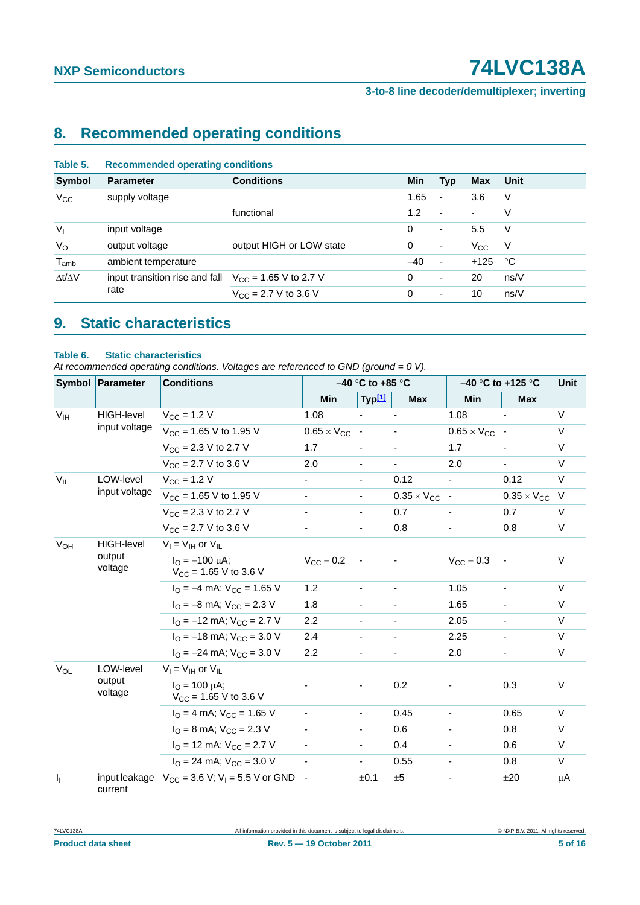**3-to-8 line decoder/demultiplexer; inverting**

# <span id="page-4-2"></span>**8. Recommended operating conditions**

<span id="page-4-0"></span>

| Table 5.            | <b>Recommended operating conditions</b> |                                          |            |                          |              |      |  |
|---------------------|-----------------------------------------|------------------------------------------|------------|--------------------------|--------------|------|--|
| <b>Symbol</b>       | <b>Parameter</b>                        | <b>Conditions</b>                        | <b>Min</b> | Typ                      | <b>Max</b>   | Unit |  |
| $V_{\rm CC}$        | supply voltage                          |                                          | 1.65       | $\blacksquare$           | 3.6          | V    |  |
|                     |                                         | functional                               | 1.2        | $\overline{\phantom{a}}$ | ٠            | V    |  |
| $V_1$               | input voltage                           |                                          | 0          | $\overline{\phantom{a}}$ | 5.5          | V    |  |
| $V_{\rm O}$         | output voltage                          | output HIGH or LOW state                 | 0          | ٠                        | $V_{\rm CC}$ | -V   |  |
| $T_{amb}$           | ambient temperature                     |                                          | $-40$      | $\overline{\phantom{a}}$ | $+125$       | °C   |  |
| $\Delta t/\Delta V$ | input transition rise and fall          | $V_{\text{CC}}$ = 1.65 V to 2.7 V        | 0          | ٠                        | 20           | ns/V |  |
|                     | rate                                    | $V_{\text{CC}} = 2.7 \text{ V}$ to 3.6 V | 0          | $\overline{\phantom{a}}$ | 10           | ns/V |  |
|                     |                                         |                                          |            |                          |              |      |  |

# <span id="page-4-3"></span>**9. Static characteristics**

#### <span id="page-4-1"></span>**Table 6. Static characteristics**

*At recommended operating conditions. Voltages are referenced to GND (ground = 0 V).*

|                         | Symbol Parameter<br><b>Conditions</b><br>$-40$ °C to +85 °C |                                                                   |                              |                          | $-40$ °C to +125 °C    | <b>Unit</b>            |                          |        |
|-------------------------|-------------------------------------------------------------|-------------------------------------------------------------------|------------------------------|--------------------------|------------------------|------------------------|--------------------------|--------|
|                         |                                                             |                                                                   | <b>Min</b>                   | Typ[1]                   | <b>Max</b>             | <b>Min</b>             | <b>Max</b>               |        |
| V <sub>IH</sub>         | <b>HIGH-level</b><br>input voltage                          | $V_{CC}$ = 1.2 V                                                  | 1.08                         |                          |                        | 1.08                   |                          | V      |
|                         |                                                             | $V_{CC}$ = 1.65 V to 1.95 V                                       | $0.65 \times V_{CC}$         | $\sim$                   |                        | $0.65 \times V_{CC}$ - |                          | $\vee$ |
|                         |                                                             | $V_{CC}$ = 2.3 V to 2.7 V                                         | 1.7                          |                          |                        | 1.7                    |                          | V      |
|                         |                                                             | $V_{CC}$ = 2.7 V to 3.6 V                                         | 2.0                          |                          |                        | 2.0                    |                          | $\vee$ |
| $V_{IL}$                | LOW-level                                                   | $V_{CC}$ = 1.2 V                                                  |                              | $\overline{\phantom{a}}$ | 0.12                   |                        | 0.12                     | $\vee$ |
|                         | input voltage                                               | $V_{CC}$ = 1.65 V to 1.95 V                                       | $\overline{\phantom{a}}$     | $\overline{\phantom{a}}$ | $0.35 \times V_{CC}$ - |                        | $0.35 \times V_{CC}$     | $\vee$ |
|                         |                                                             | $V_{CC}$ = 2.3 V to 2.7 V                                         | $\qquad \qquad \blacksquare$ | $\blacksquare$           | 0.7                    |                        | 0.7                      | V      |
|                         |                                                             | $V_{CC}$ = 2.7 V to 3.6 V                                         |                              | $\overline{\phantom{a}}$ | 0.8                    |                        | 0.8                      | V      |
| <b>V<sub>OH</sub></b>   | <b>HIGH-level</b><br>output<br>voltage                      | $V_I = V_{IH}$ or $V_{IL}$                                        |                              |                          |                        |                        |                          |        |
|                         |                                                             | $I_{\Omega} = -100 \mu A$ ;<br>$V_{\text{CC}}$ = 1.65 V to 3.6 V  | $V_{CC}$ - 0.2               |                          |                        | $V_{CC}$ - 0.3         |                          | $\vee$ |
|                         |                                                             | $I_{\text{O}} = -4 \text{ mA}$ ; $V_{\text{CC}} = 1.65 \text{ V}$ | 1.2                          | $\frac{1}{2}$            |                        | 1.05                   |                          | $\vee$ |
|                         |                                                             | $I_{\text{O}} = -8 \text{ mA}$ ; $V_{\text{CC}} = 2.3 \text{ V}$  | 1.8                          |                          |                        | 1.65                   |                          | $\vee$ |
|                         |                                                             | $I_{\text{O}} = -12 \text{ mA}$ ; $V_{\text{CC}} = 2.7 \text{ V}$ | 2.2                          | $\overline{\phantom{0}}$ |                        | 2.05                   |                          | $\vee$ |
|                         |                                                             | $I_{\Omega}$ = -18 mA; $V_{\text{CC}}$ = 3.0 V                    | 2.4                          | $\blacksquare$           | Ξ.                     | 2.25                   | $\blacksquare$           | $\vee$ |
|                         |                                                             | $I_{\text{O}} = -24 \text{ mA}$ ; $V_{\text{CC}} = 3.0 \text{ V}$ | 2.2                          | $\overline{\phantom{a}}$ |                        | 2.0                    | $\overline{\phantom{a}}$ | V      |
| $V_{OL}$                | LOW-level                                                   | $V_I = V_{IH}$ or $V_{IL}$                                        |                              |                          |                        |                        |                          |        |
|                         | output<br>voltage                                           | $I_{\Omega} = 100 \mu A$ ;<br>$V_{CC}$ = 1.65 V to 3.6 V          |                              |                          | 0.2                    |                        | 0.3                      | $\vee$ |
|                         |                                                             | $IO = 4 mA$ ; $VCC = 1.65 V$                                      |                              | $\overline{\phantom{a}}$ | 0.45                   |                        | 0.65                     | $\vee$ |
|                         |                                                             | $IO = 8$ mA; $VCC = 2.3$ V                                        |                              | -                        | 0.6                    |                        | 0.8                      | $\vee$ |
|                         |                                                             | $IO$ = 12 mA; $VCC$ = 2.7 V                                       |                              | $\overline{\phantom{a}}$ | 0.4                    |                        | 0.6                      | V      |
|                         |                                                             | $I_{\text{O}}$ = 24 mA; $V_{\text{CC}}$ = 3.0 V                   |                              | $\overline{\phantom{0}}$ | 0.55                   |                        | 0.8                      | $\vee$ |
| $\mathbf{I}_{\text{I}}$ | current                                                     | input leakage $V_{CC} = 3.6 V$ ; $V_1 = 5.5 V$ or GND             | $\overline{\phantom{a}}$     | ±0.1                     | ±5                     |                        | ±20                      | μA     |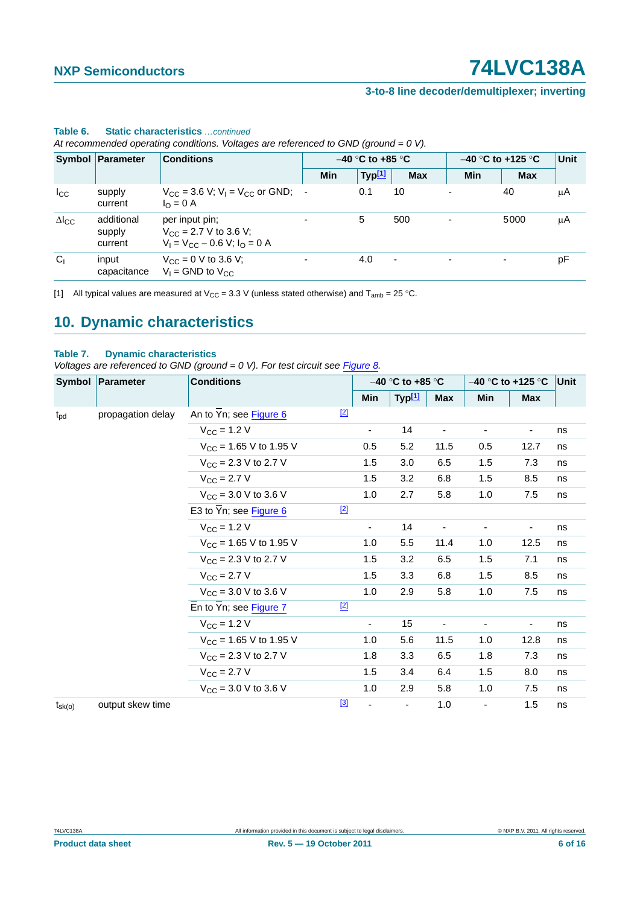### **3-to-8 line decoder/demultiplexer; inverting**

|                 |                                 | At recommended operating conditions. Voltages are referenced to GND (ground $= 0 V$ ).   |                          |                    |            |                          |                     |      |
|-----------------|---------------------------------|------------------------------------------------------------------------------------------|--------------------------|--------------------|------------|--------------------------|---------------------|------|
|                 | Symbol Parameter                | <b>Conditions</b>                                                                        |                          | $-40$ °C to +85 °C |            |                          | $-40$ °C to +125 °C | Unit |
|                 |                                 |                                                                                          | Min                      | Typ <sup>[1]</sup> | <b>Max</b> | Min                      | <b>Max</b>          |      |
| $_{\rm lcc}$    | supply<br>current               | $V_{CC}$ = 3.6 V; V <sub>L</sub> = V <sub>CC</sub> or GND;<br>$I_{\Omega} = 0$ A         |                          | 0.1                | 10         |                          | 40                  | μA   |
| $\Delta I_{CC}$ | additional<br>supply<br>current | per input pin:<br>$V_{\rm CC}$ = 2.7 V to 3.6 V;<br>$V_1 = V_{CC} - 0.6 V$ ; $I_0 = 0 A$ |                          | 5                  | 500        |                          | 5000                | μA   |
| $C_1$           | input<br>capacitance            | $V_{CC} = 0$ V to 3.6 V;<br>$V_1$ = GND to $V_{CC}$                                      | $\overline{\phantom{a}}$ | 4.0                | ٠          | $\overline{\phantom{0}}$ | $\blacksquare$      | pF   |

## **Table 6. Static characteristics** *…continued*

*At recommended operating conditions. Voltages are referenced to GND (ground = 0 V).*

<span id="page-5-0"></span>[1] All typical values are measured at  $V_{CC} = 3.3$  V (unless stated otherwise) and  $T_{amb} = 25$  °C.

## <span id="page-5-2"></span>**10. Dynamic characteristics**

#### <span id="page-5-1"></span>**Table 7. Dynamic characteristics**

*Voltages are referenced to GND (ground = 0 V). For test circuit see <i>[Figure 8](#page-7-0)*.

|                 | Symbol Parameter  | <b>Conditions</b>                                  |       | $-40$ °C to +85 °C       |                          | $-40$ °C to +125 °C      |                              | Unit                     |    |
|-----------------|-------------------|----------------------------------------------------|-------|--------------------------|--------------------------|--------------------------|------------------------------|--------------------------|----|
|                 |                   |                                                    |       | Min                      | Typ <sup>[1]</sup>       | <b>Max</b>               | Min                          | <b>Max</b>               |    |
| $t_{\rm pd}$    | propagation delay | An to $\overline{Y}$ n; see Figure 6               | $[2]$ |                          |                          |                          |                              |                          |    |
|                 |                   | $V_{\text{CC}} = 1.2 V$                            |       | $\overline{\phantom{a}}$ | 14                       | $\overline{\phantom{a}}$ | $\qquad \qquad \blacksquare$ | $\overline{\phantom{a}}$ | ns |
|                 |                   | $V_{CC}$ = 1.65 V to 1.95 V                        |       | 0.5                      | 5.2                      | 11.5                     | 0.5                          | 12.7                     | ns |
|                 |                   | $V_{CC}$ = 2.3 V to 2.7 V                          |       | 1.5                      | 3.0                      | 6.5                      | 1.5                          | 7.3                      | ns |
|                 |                   | $V_{\rm CC} = 2.7 V$                               |       | 1.5                      | 3.2                      | 6.8                      | 1.5                          | 8.5                      | ns |
|                 |                   | $V_{CC}$ = 3.0 V to 3.6 V                          |       | 1.0                      | 2.7                      | 5.8                      | 1.0                          | 7.5                      | ns |
|                 |                   | E3 to $\overline{Y}$ n; see Figure 6               | $[2]$ |                          |                          |                          |                              |                          |    |
|                 |                   | $V_{CC}$ = 1.2 V                                   |       | $\overline{\phantom{a}}$ | 14                       |                          |                              |                          | ns |
|                 |                   | $V_{CC}$ = 1.65 V to 1.95 V                        |       | 1.0                      | 5.5                      | 11.4                     | 1.0                          | 12.5                     | ns |
|                 |                   | $V_{CC}$ = 2.3 V to 2.7 V                          |       | 1.5                      | 3.2                      | 6.5                      | 1.5                          | 7.1                      | ns |
|                 |                   | $V_{\text{CC}} = 2.7 V$                            |       | 1.5                      | 3.3                      | 6.8                      | 1.5                          | 8.5                      | ns |
|                 |                   | $V_{CC}$ = 3.0 V to 3.6 V                          |       | 1.0                      | 2.9                      | 5.8                      | 1.0                          | 7.5                      | ns |
|                 |                   | $\overline{E}$ n to $\overline{Y}$ n; see Figure 7 | $[2]$ |                          |                          |                          |                              |                          |    |
|                 |                   | $V_{CC}$ = 1.2 V                                   |       | -                        | 15                       | ٠                        |                              |                          | ns |
|                 |                   | $V_{CC}$ = 1.65 V to 1.95 V                        |       | 1.0                      | 5.6                      | 11.5                     | 1.0                          | 12.8                     | ns |
|                 |                   | $V_{CC}$ = 2.3 V to 2.7 V                          |       | 1.8                      | 3.3                      | 6.5                      | 1.8                          | 7.3                      | ns |
|                 |                   | $V_{\rm CC} = 2.7 V$                               |       | 1.5                      | 3.4                      | 6.4                      | 1.5                          | 8.0                      | ns |
|                 |                   | $V_{\text{CC}} = 3.0 \text{ V}$ to 3.6 V           |       | 1.0                      | 2.9                      | 5.8                      | 1.0                          | 7.5                      | ns |
| $t_{\rm sk(o)}$ | output skew time  |                                                    | $[3]$ | ä,                       | $\overline{\phantom{a}}$ | 1.0                      | $\blacksquare$               | 1.5                      | ns |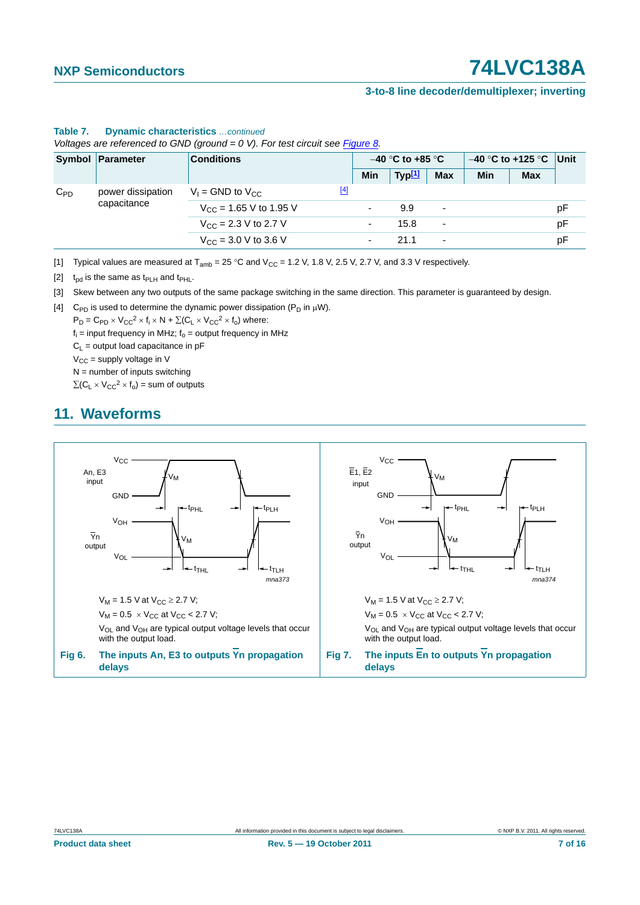#### **3-to-8 line decoder/demultiplexer; inverting**

|          | Symbol Parameter                 | <b>Conditions</b>                  |       | $-40$ °C to +85 °C       |        |                          | $-40$ °C to +125 °C Unit |            |    |
|----------|----------------------------------|------------------------------------|-------|--------------------------|--------|--------------------------|--------------------------|------------|----|
|          |                                  |                                    |       | Min                      | Typ[1] | Max                      | Min                      | <b>Max</b> |    |
| $C_{PD}$ | power dissipation<br>capacitance | $V_1$ = GND to $V_{CC}$            | $[4]$ |                          |        |                          |                          |            |    |
|          |                                  | $V_{\text{CC}}$ = 1.65 V to 1.95 V |       |                          | 9.9    | $\overline{\phantom{a}}$ |                          |            | рF |
|          |                                  | $V_{CC}$ = 2.3 V to 2.7 V          |       | ۰                        | 15.8   | $\overline{\phantom{a}}$ |                          |            | рF |
|          |                                  | $V_{CC}$ = 3.0 V to 3.6 V          |       | $\overline{\phantom{0}}$ | 21.1   | $\overline{\phantom{a}}$ |                          |            | рF |

#### **Table 7. Dynamic characteristics** *…continued*

*Voltages are referenced to GND (ground = 0 V). For test circuit see Figure 8.*

<span id="page-6-0"></span>[1] Typical values are measured at  $T_{amb} = 25 \degree C$  and  $V_{CC} = 1.2$  V, 1.8 V, 2.5 V, 2.7 V, and 3.3 V respectively.

<span id="page-6-2"></span>[2]  $t_{\text{nd}}$  is the same as  $t_{\text{PLH}}$  and  $t_{\text{PHL}}$ .

<span id="page-6-4"></span>[3] Skew between any two outputs of the same package switching in the same direction. This parameter is guaranteed by design.

<span id="page-6-5"></span>[4] C<sub>PD</sub> is used to determine the dynamic power dissipation ( $P_D$  in  $\mu$ W).

 $P_D = C_{PD} \times V_{CC}^2 \times f_i \times N + \Sigma (C_L \times V_{CC}^2 \times f_0)$  where:

 $f_i$  = input frequency in MHz;  $f_0$  = output frequency in MHz

 $C_L$  = output load capacitance in pF

 $V_{CC}$  = supply voltage in V

 $N =$  number of inputs switching

 $\sum(C_L \times V_{CC}^2 \times f_0)$  = sum of outputs

### <span id="page-6-6"></span><span id="page-6-3"></span>**11. Waveforms**

<span id="page-6-1"></span>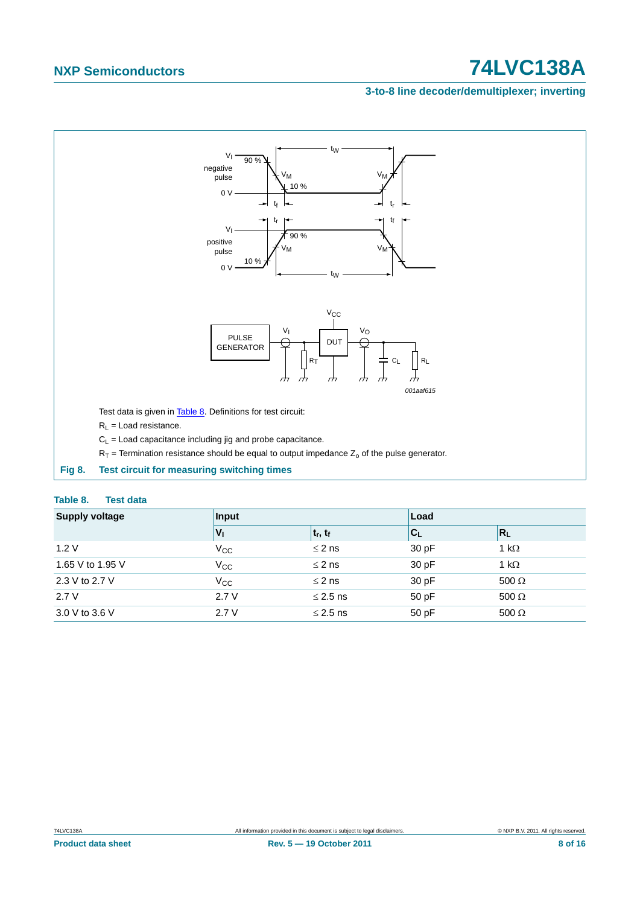### **3-to-8 line decoder/demultiplexer; inverting**



#### <span id="page-7-1"></span><span id="page-7-0"></span>**Table 8. Test data**

| <b>Supply voltage</b> | Input           |               | Load  |              |  |
|-----------------------|-----------------|---------------|-------|--------------|--|
|                       | $V_{\parallel}$ | $ t_r, t_f $  | C     | $R_L$        |  |
| 1.2V                  | $V_{\rm CC}$    | $\leq$ 2 ns   | 30 pF | 1 k $\Omega$ |  |
| 1.65 V to 1.95 V      | $V_{\rm CC}$    | $\leq$ 2 ns   | 30 pF | 1 k $\Omega$ |  |
| 2.3 V to 2.7 V        | $V_{\rm CC}$    | $\leq$ 2 ns   | 30 pF | $500 \Omega$ |  |
| 2.7V                  | 2.7V            | $\leq$ 2.5 ns | 50 pF | $500 \Omega$ |  |
| 3.0 V to 3.6 V        | 2.7V            | $\leq$ 2.5 ns | 50 pF | $500 \Omega$ |  |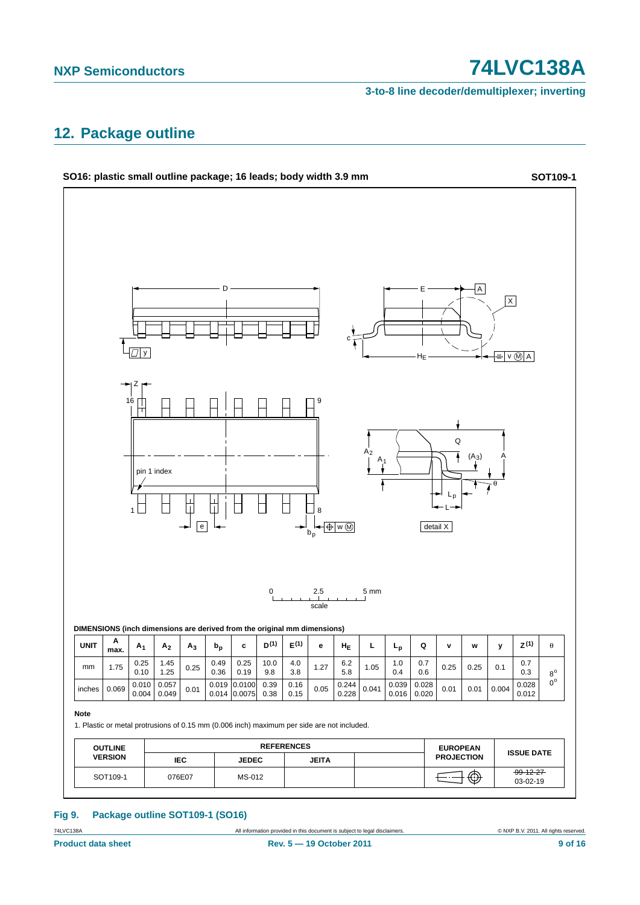**3-to-8 line decoder/demultiplexer; inverting**

### <span id="page-8-0"></span>**12. Package outline**



### **Fig 9. Package outline SOT109-1 (SO16)**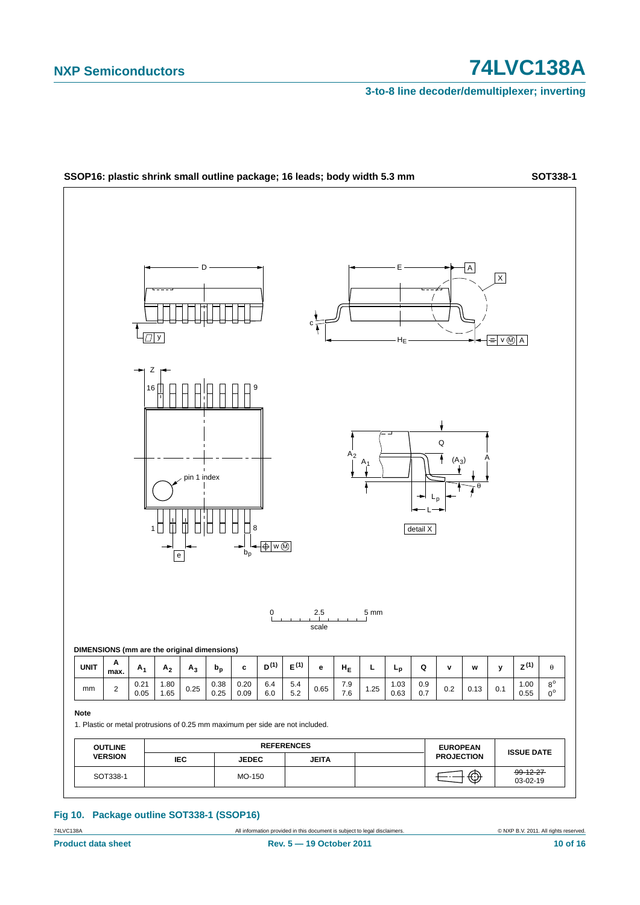**3-to-8 line decoder/demultiplexer; inverting**



#### **Fig 10. Package outline SOT338-1 (SSOP16)**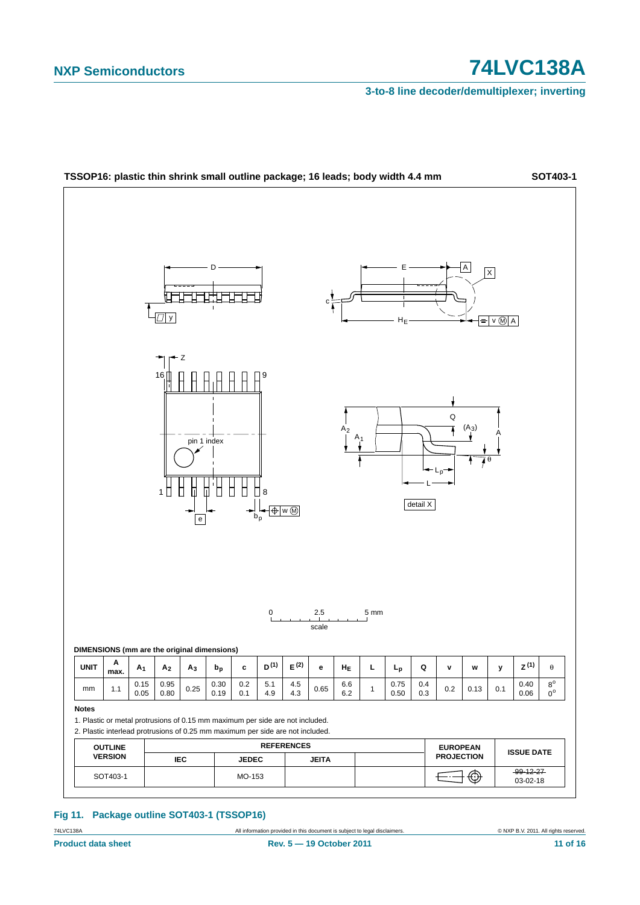**3-to-8 line decoder/demultiplexer; inverting**



#### **Fig 11. Package outline SOT403-1 (TSSOP16)**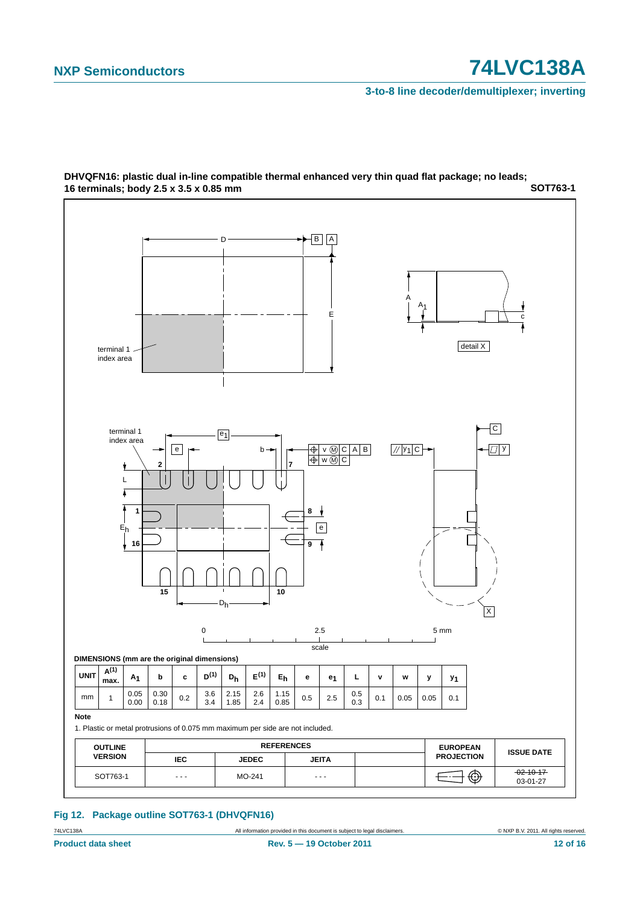**3-to-8 line decoder/demultiplexer; inverting**



#### **SOT763-1 DHVQFN16: plastic dual in-line compatible thermal enhanced very thin quad flat package; no leads; 16 terminals; body 2.5 x 3.5 x 0.85 mm**

**Fig 12. Package outline SOT763-1 (DHVQFN16)**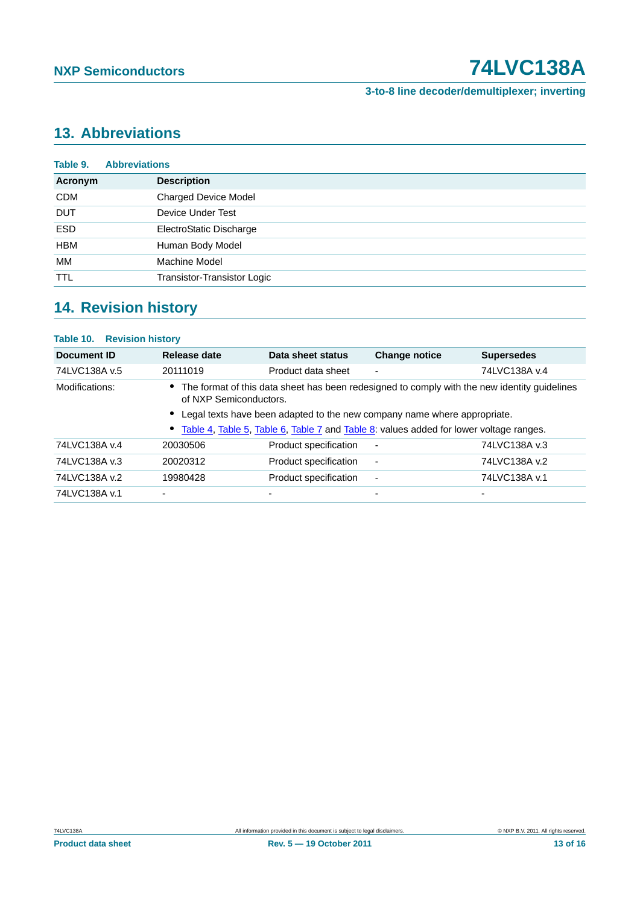### **3-to-8 line decoder/demultiplexer; inverting**

# <span id="page-12-0"></span>**13. Abbreviations**

| Table 9.   | <b>Abbreviations</b>        |
|------------|-----------------------------|
| Acronym    | <b>Description</b>          |
| <b>CDM</b> | <b>Charged Device Model</b> |
| <b>DUT</b> | Device Under Test           |
| <b>ESD</b> | ElectroStatic Discharge     |
| <b>HBM</b> | Human Body Model            |
| МM         | Machine Model               |
| <b>TTL</b> | Transistor-Transistor Logic |

# <span id="page-12-1"></span>**14. Revision history**

| <b>Table 10. Revision history</b> |                          |                          |                                                                                                                                                                                                                                                                        |  |  |  |  |  |
|-----------------------------------|--------------------------|--------------------------|------------------------------------------------------------------------------------------------------------------------------------------------------------------------------------------------------------------------------------------------------------------------|--|--|--|--|--|
| Release date                      | Data sheet status        | <b>Change notice</b>     | <b>Supersedes</b>                                                                                                                                                                                                                                                      |  |  |  |  |  |
| 20111019                          | Product data sheet       | $\overline{\phantom{0}}$ | 74LVC138A v.4                                                                                                                                                                                                                                                          |  |  |  |  |  |
|                                   |                          |                          |                                                                                                                                                                                                                                                                        |  |  |  |  |  |
|                                   |                          |                          |                                                                                                                                                                                                                                                                        |  |  |  |  |  |
| 20030506                          | Product specification    |                          | 74LVC138A v.3                                                                                                                                                                                                                                                          |  |  |  |  |  |
| 20020312                          | Product specification    | $\blacksquare$           | 74LVC138A v.2                                                                                                                                                                                                                                                          |  |  |  |  |  |
| 19980428                          | Product specification    | $\overline{\phantom{a}}$ | 74LVC138A v.1                                                                                                                                                                                                                                                          |  |  |  |  |  |
| $\blacksquare$                    | $\overline{\phantom{0}}$ | $\overline{\phantom{0}}$ | $\overline{\phantom{0}}$                                                                                                                                                                                                                                               |  |  |  |  |  |
|                                   |                          | of NXP Semiconductors.   | • The format of this data sheet has been redesigned to comply with the new identity guidelines<br>Legal texts have been adapted to the new company name where appropriate.<br>• Table 4, Table 5, Table 6, Table 7 and Table 8: values added for lower voltage ranges. |  |  |  |  |  |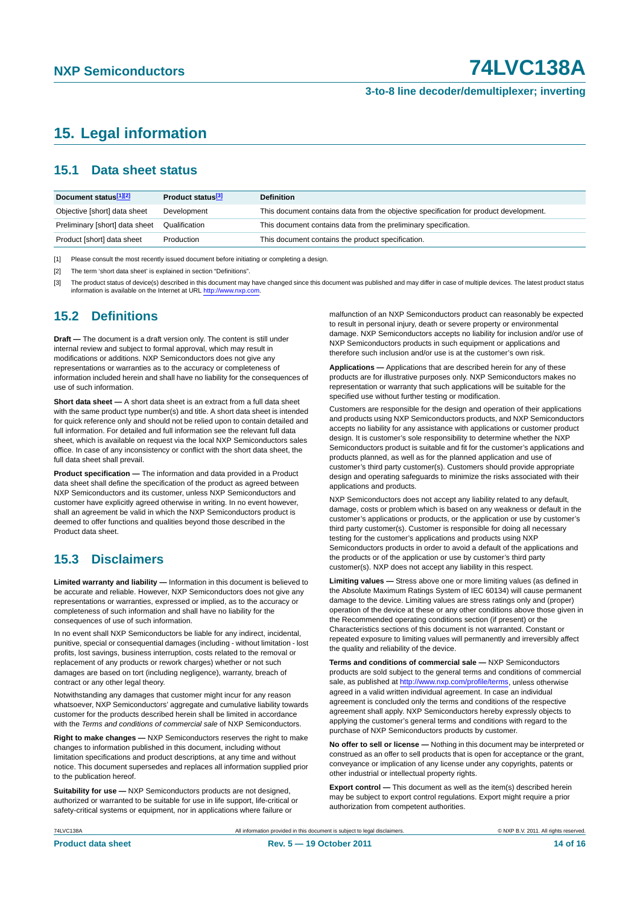#### **3-to-8 line decoder/demultiplexer; inverting**

# <span id="page-13-0"></span>**15. Legal information**

### <span id="page-13-1"></span>**15.1 Data sheet status**

| Document status[1][2]          | Product status <sup>[3]</sup> | <b>Definition</b>                                                                     |
|--------------------------------|-------------------------------|---------------------------------------------------------------------------------------|
| Objective [short] data sheet   | Development                   | This document contains data from the objective specification for product development. |
| Preliminary [short] data sheet | Qualification                 | This document contains data from the preliminary specification.                       |
| Product [short] data sheet     | Production                    | This document contains the product specification.                                     |

[1] Please consult the most recently issued document before initiating or completing a design.

[2] The term 'short data sheet' is explained in section "Definitions".

[3] The product status of device(s) described in this document may have changed since this document was published and may differ in case of multiple devices. The latest product status<br>information is available on the Intern

### <span id="page-13-2"></span>**15.2 Definitions**

**Draft —** The document is a draft version only. The content is still under internal review and subject to formal approval, which may result in modifications or additions. NXP Semiconductors does not give any representations or warranties as to the accuracy or completeness of information included herein and shall have no liability for the consequences of use of such information.

**Short data sheet —** A short data sheet is an extract from a full data sheet with the same product type number(s) and title. A short data sheet is intended for quick reference only and should not be relied upon to contain detailed and full information. For detailed and full information see the relevant full data sheet, which is available on request via the local NXP Semiconductors sales office. In case of any inconsistency or conflict with the short data sheet, the full data sheet shall prevail.

**Product specification —** The information and data provided in a Product data sheet shall define the specification of the product as agreed between NXP Semiconductors and its customer, unless NXP Semiconductors and customer have explicitly agreed otherwise in writing. In no event however, shall an agreement be valid in which the NXP Semiconductors product is deemed to offer functions and qualities beyond those described in the Product data sheet.

### <span id="page-13-3"></span>**15.3 Disclaimers**

**Limited warranty and liability —** Information in this document is believed to be accurate and reliable. However, NXP Semiconductors does not give any representations or warranties, expressed or implied, as to the accuracy or completeness of such information and shall have no liability for the consequences of use of such information.

In no event shall NXP Semiconductors be liable for any indirect, incidental, punitive, special or consequential damages (including - without limitation - lost profits, lost savings, business interruption, costs related to the removal or replacement of any products or rework charges) whether or not such damages are based on tort (including negligence), warranty, breach of contract or any other legal theory.

Notwithstanding any damages that customer might incur for any reason whatsoever, NXP Semiconductors' aggregate and cumulative liability towards customer for the products described herein shall be limited in accordance with the *Terms and conditions of commercial sale* of NXP Semiconductors.

**Right to make changes —** NXP Semiconductors reserves the right to make changes to information published in this document, including without limitation specifications and product descriptions, at any time and without notice. This document supersedes and replaces all information supplied prior to the publication hereof.

**Suitability for use —** NXP Semiconductors products are not designed, authorized or warranted to be suitable for use in life support, life-critical or safety-critical systems or equipment, nor in applications where failure or

malfunction of an NXP Semiconductors product can reasonably be expected to result in personal injury, death or severe property or environmental damage. NXP Semiconductors accepts no liability for inclusion and/or use of NXP Semiconductors products in such equipment or applications and therefore such inclusion and/or use is at the customer's own risk.

**Applications —** Applications that are described herein for any of these products are for illustrative purposes only. NXP Semiconductors makes no representation or warranty that such applications will be suitable for the specified use without further testing or modification.

Customers are responsible for the design and operation of their applications and products using NXP Semiconductors products, and NXP Semiconductors accepts no liability for any assistance with applications or customer product design. It is customer's sole responsibility to determine whether the NXP Semiconductors product is suitable and fit for the customer's applications and products planned, as well as for the planned application and use of customer's third party customer(s). Customers should provide appropriate design and operating safeguards to minimize the risks associated with their applications and products.

NXP Semiconductors does not accept any liability related to any default, damage, costs or problem which is based on any weakness or default in the customer's applications or products, or the application or use by customer's third party customer(s). Customer is responsible for doing all necessary testing for the customer's applications and products using NXP Semiconductors products in order to avoid a default of the applications and the products or of the application or use by customer's third party customer(s). NXP does not accept any liability in this respect.

**Limiting values —** Stress above one or more limiting values (as defined in the Absolute Maximum Ratings System of IEC 60134) will cause permanent damage to the device. Limiting values are stress ratings only and (proper) operation of the device at these or any other conditions above those given in the Recommended operating conditions section (if present) or the Characteristics sections of this document is not warranted. Constant or repeated exposure to limiting values will permanently and irreversibly affect the quality and reliability of the device.

**Terms and conditions of commercial sale —** NXP Semiconductors products are sold subject to the general terms and conditions of commercial sale, as published at<http://www.nxp.com/profile/terms>, unless otherwise agreed in a valid written individual agreement. In case an individual agreement is concluded only the terms and conditions of the respective agreement shall apply. NXP Semiconductors hereby expressly objects to applying the customer's general terms and conditions with regard to the purchase of NXP Semiconductors products by customer.

**No offer to sell or license —** Nothing in this document may be interpreted or construed as an offer to sell products that is open for acceptance or the grant, conveyance or implication of any license under any copyrights, patents or other industrial or intellectual property rights.

**Export control —** This document as well as the item(s) described herein may be subject to export control regulations. Export might require a prior authorization from competent authorities.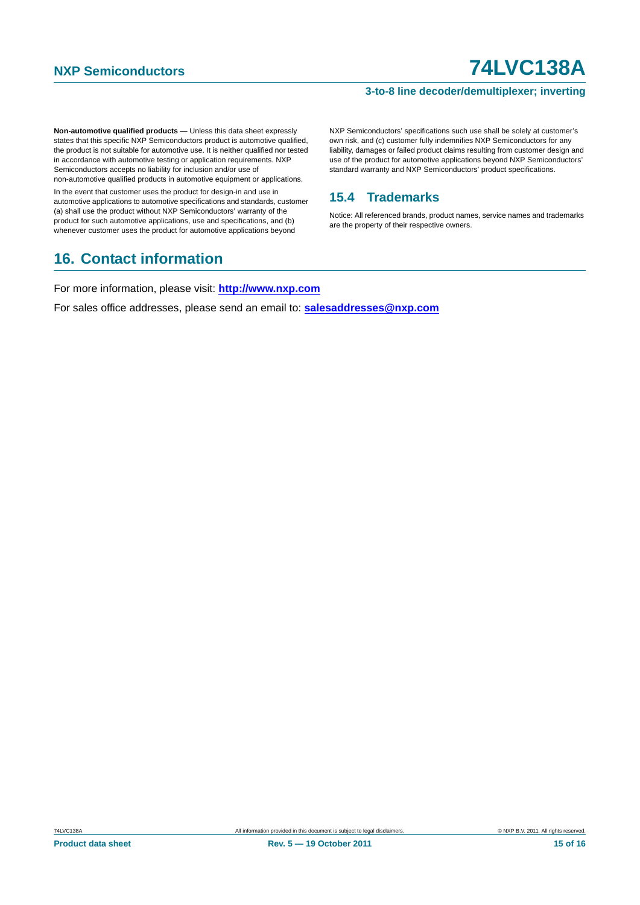### **3-to-8 line decoder/demultiplexer; inverting**

**Non-automotive qualified products —** Unless this data sheet expressly states that this specific NXP Semiconductors product is automotive qualified, the product is not suitable for automotive use. It is neither qualified nor tested in accordance with automotive testing or application requirements. NXP Semiconductors accepts no liability for inclusion and/or use of non-automotive qualified products in automotive equipment or applications.

In the event that customer uses the product for design-in and use in automotive applications to automotive specifications and standards, customer (a) shall use the product without NXP Semiconductors' warranty of the product for such automotive applications, use and specifications, and (b) whenever customer uses the product for automotive applications beyond

## <span id="page-14-1"></span>**16. Contact information**

NXP Semiconductors' specifications such use shall be solely at customer's own risk, and (c) customer fully indemnifies NXP Semiconductors for any liability, damages or failed product claims resulting from customer design and use of the product for automotive applications beyond NXP Semiconductors' standard warranty and NXP Semiconductors' product specifications.

### <span id="page-14-0"></span>**15.4 Trademarks**

Notice: All referenced brands, product names, service names and trademarks are the property of their respective owners.

For more information, please visit: **http://www.nxp.com**

For sales office addresses, please send an email to: **salesaddresses@nxp.com**